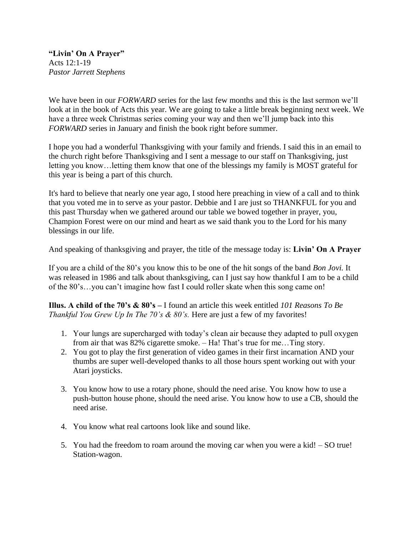**"Livin' On A Prayer"** Acts 12:1-19 *Pastor Jarrett Stephens*

We have been in our *FORWARD* series for the last few months and this is the last sermon we'll look at in the book of Acts this year. We are going to take a little break beginning next week. We have a three week Christmas series coming your way and then we'll jump back into this *FORWARD* series in January and finish the book right before summer.

I hope you had a wonderful Thanksgiving with your family and friends. I said this in an email to the church right before Thanksgiving and I sent a message to our staff on Thanksgiving, just letting you know…letting them know that one of the blessings my family is MOST grateful for this year is being a part of this church.

It's hard to believe that nearly one year ago, I stood here preaching in view of a call and to think that you voted me in to serve as your pastor. Debbie and I are just so THANKFUL for you and this past Thursday when we gathered around our table we bowed together in prayer, you, Champion Forest were on our mind and heart as we said thank you to the Lord for his many blessings in our life.

And speaking of thanksgiving and prayer, the title of the message today is: **Livin' On A Prayer**

If you are a child of the 80's you know this to be one of the hit songs of the band *Bon Jovi.* It was released in 1986 and talk about thanksgiving, can I just say how thankful I am to be a child of the 80's…you can't imagine how fast I could roller skate when this song came on!

**Illus. A child of the 70's & 80's –** I found an article this week entitled *101 Reasons To Be Thankful You Grew Up In The 70's & 80's.* Here are just a few of my favorites!

- 1. Your lungs are supercharged with today's clean air because they adapted to pull oxygen from air that was 82% cigarette smoke. – Ha! That's true for me…Ting story.
- 2. You got to play the first generation of video games in their first incarnation AND your thumbs are super well-developed thanks to all those hours spent working out with your Atari joysticks.
- 3. You know how to use a rotary phone, should the need arise. You know how to use a push-button house phone, should the need arise. You know how to use a CB, should the need arise.
- 4. You know what real cartoons look like and sound like.
- 5. You had the freedom to roam around the moving car when you were a kid! SO true! Station-wagon.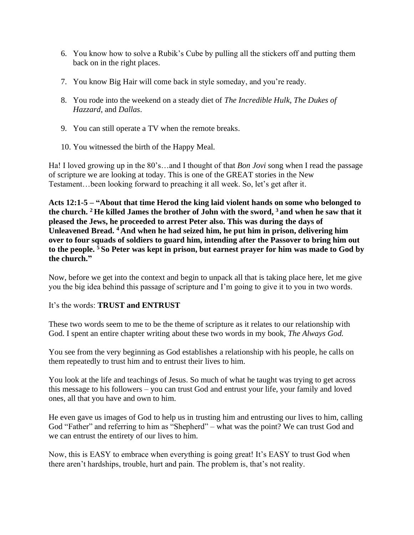- 6. You know how to solve a Rubik's Cube by pulling all the stickers off and putting them back on in the right places.
- 7. You know Big Hair will come back in style someday, and you're ready.
- 8. You rode into the weekend on a steady diet of *The Incredible Hulk*, *The Dukes of Hazzard*, and *Dallas*.
- 9. You can still operate a TV when the remote breaks.
- 10. You witnessed the birth of the Happy Meal.

Ha! I loved growing up in the 80's…and I thought of that *Bon Jovi* song when I read the passage of scripture we are looking at today. This is one of the GREAT stories in the New Testament…been looking forward to preaching it all week. So, let's get after it.

**Acts 12:1-5 – "About that time Herod the king laid violent hands on some who belonged to the church. <sup>2</sup> He killed James the brother of John with the sword, <sup>3</sup> and when he saw that it pleased the Jews, he proceeded to arrest Peter also. This was during the days of Unleavened Bread. <sup>4</sup> And when he had seized him, he put him in prison, delivering him over to four squads of soldiers to guard him, intending after the Passover to bring him out to the people. <sup>5</sup> So Peter was kept in prison, but earnest prayer for him was made to God by the church."**

Now, before we get into the context and begin to unpack all that is taking place here, let me give you the big idea behind this passage of scripture and I'm going to give it to you in two words.

#### It's the words: **TRUST and ENTRUST**

These two words seem to me to be the theme of scripture as it relates to our relationship with God. I spent an entire chapter writing about these two words in my book, *The Always God.*

You see from the very beginning as God establishes a relationship with his people, he calls on them repeatedly to trust him and to entrust their lives to him.

You look at the life and teachings of Jesus. So much of what he taught was trying to get across this message to his followers – you can trust God and entrust your life, your family and loved ones, all that you have and own to him.

He even gave us images of God to help us in trusting him and entrusting our lives to him, calling God "Father" and referring to him as "Shepherd" – what was the point? We can trust God and we can entrust the entirety of our lives to him.

Now, this is EASY to embrace when everything is going great! It's EASY to trust God when there aren't hardships, trouble, hurt and pain. The problem is, that's not reality.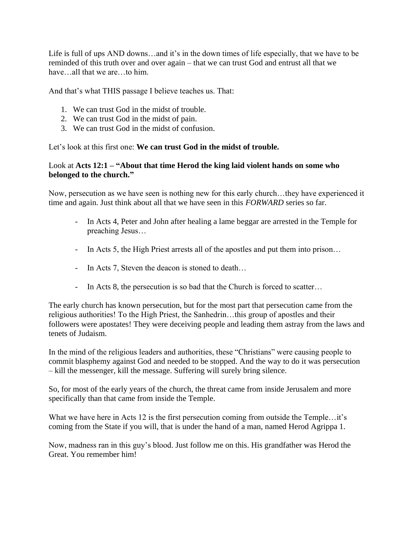Life is full of ups AND downs…and it's in the down times of life especially, that we have to be reminded of this truth over and over again – that we can trust God and entrust all that we have…all that we are…to him.

And that's what THIS passage I believe teaches us. That:

- 1. We can trust God in the midst of trouble.
- 2. We can trust God in the midst of pain.
- 3. We can trust God in the midst of confusion.

Let's look at this first one: **We can trust God in the midst of trouble.**

#### Look at **Acts 12:1 – "About that time Herod the king laid violent hands on some who belonged to the church."**

Now, persecution as we have seen is nothing new for this early church…they have experienced it time and again. Just think about all that we have seen in this *FORWARD* series so far.

- In Acts 4, Peter and John after healing a lame beggar are arrested in the Temple for preaching Jesus…
- In Acts 5, the High Priest arrests all of the apostles and put them into prison…
- In Acts 7, Steven the deacon is stoned to death…
- In Acts 8, the persecution is so bad that the Church is forced to scatter...

The early church has known persecution, but for the most part that persecution came from the religious authorities! To the High Priest, the Sanhedrin…this group of apostles and their followers were apostates! They were deceiving people and leading them astray from the laws and tenets of Judaism.

In the mind of the religious leaders and authorities, these "Christians" were causing people to commit blasphemy against God and needed to be stopped. And the way to do it was persecution – kill the messenger, kill the message. Suffering will surely bring silence.

So, for most of the early years of the church, the threat came from inside Jerusalem and more specifically than that came from inside the Temple.

What we have here in Acts 12 is the first persecution coming from outside the Temple…it's coming from the State if you will, that is under the hand of a man, named Herod Agrippa 1.

Now, madness ran in this guy's blood. Just follow me on this. His grandfather was Herod the Great. You remember him!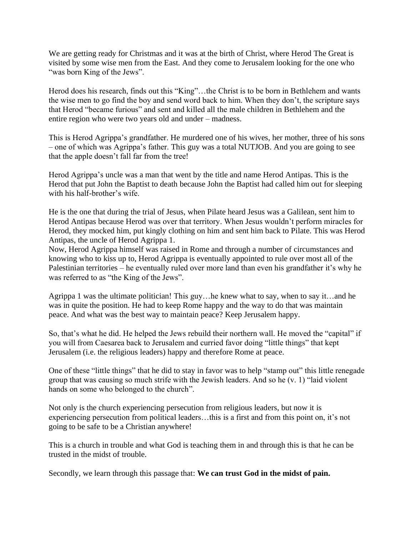We are getting ready for Christmas and it was at the birth of Christ, where Herod The Great is visited by some wise men from the East. And they come to Jerusalem looking for the one who "was born King of the Jews".

Herod does his research, finds out this "King"...the Christ is to be born in Bethlehem and wants the wise men to go find the boy and send word back to him. When they don't, the scripture says that Herod "became furious" and sent and killed all the male children in Bethlehem and the entire region who were two years old and under – madness.

This is Herod Agrippa's grandfather. He murdered one of his wives, her mother, three of his sons – one of which was Agrippa's father. This guy was a total NUTJOB. And you are going to see that the apple doesn't fall far from the tree!

Herod Agrippa's uncle was a man that went by the title and name Herod Antipas. This is the Herod that put John the Baptist to death because John the Baptist had called him out for sleeping with his half-brother's wife.

He is the one that during the trial of Jesus, when Pilate heard Jesus was a Galilean, sent him to Herod Antipas because Herod was over that territory. When Jesus wouldn't perform miracles for Herod, they mocked him, put kingly clothing on him and sent him back to Pilate. This was Herod Antipas, the uncle of Herod Agrippa 1.

Now, Herod Agrippa himself was raised in Rome and through a number of circumstances and knowing who to kiss up to, Herod Agrippa is eventually appointed to rule over most all of the Palestinian territories – he eventually ruled over more land than even his grandfather it's why he was referred to as "the King of the Jews".

Agrippa 1 was the ultimate politician! This guy…he knew what to say, when to say it…and he was in quite the position. He had to keep Rome happy and the way to do that was maintain peace. And what was the best way to maintain peace? Keep Jerusalem happy.

So, that's what he did. He helped the Jews rebuild their northern wall. He moved the "capital" if you will from Caesarea back to Jerusalem and curried favor doing "little things" that kept Jerusalem (i.e. the religious leaders) happy and therefore Rome at peace.

One of these "little things" that he did to stay in favor was to help "stamp out" this little renegade group that was causing so much strife with the Jewish leaders. And so he (v. 1) "laid violent hands on some who belonged to the church".

Not only is the church experiencing persecution from religious leaders, but now it is experiencing persecution from political leaders…this is a first and from this point on, it's not going to be safe to be a Christian anywhere!

This is a church in trouble and what God is teaching them in and through this is that he can be trusted in the midst of trouble.

Secondly, we learn through this passage that: **We can trust God in the midst of pain.**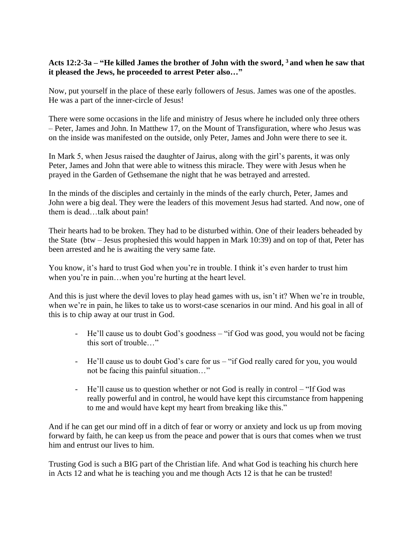### **Acts 12:2-3a – "He killed James the brother of John with the sword, <sup>3</sup> and when he saw that it pleased the Jews, he proceeded to arrest Peter also…"**

Now, put yourself in the place of these early followers of Jesus. James was one of the apostles. He was a part of the inner-circle of Jesus!

There were some occasions in the life and ministry of Jesus where he included only three others – Peter, James and John. In Matthew 17, on the Mount of Transfiguration, where who Jesus was on the inside was manifested on the outside, only Peter, James and John were there to see it.

In Mark 5, when Jesus raised the daughter of Jairus, along with the girl's parents, it was only Peter, James and John that were able to witness this miracle. They were with Jesus when he prayed in the Garden of Gethsemane the night that he was betrayed and arrested.

In the minds of the disciples and certainly in the minds of the early church, Peter, James and John were a big deal. They were the leaders of this movement Jesus had started. And now, one of them is dead…talk about pain!

Their hearts had to be broken. They had to be disturbed within. One of their leaders beheaded by the State (btw – Jesus prophesied this would happen in Mark 10:39) and on top of that, Peter has been arrested and he is awaiting the very same fate.

You know, it's hard to trust God when you're in trouble. I think it's even harder to trust him when you're in pain…when you're hurting at the heart level.

And this is just where the devil loves to play head games with us, isn't it? When we're in trouble, when we're in pain, he likes to take us to worst-case scenarios in our mind. And his goal in all of this is to chip away at our trust in God.

- He'll cause us to doubt God's goodness "if God was good, you would not be facing this sort of trouble…"
- He'll cause us to doubt God's care for us "if God really cared for you, you would not be facing this painful situation…"
- He'll cause us to question whether or not God is really in control "If God was really powerful and in control, he would have kept this circumstance from happening to me and would have kept my heart from breaking like this."

And if he can get our mind off in a ditch of fear or worry or anxiety and lock us up from moving forward by faith, he can keep us from the peace and power that is ours that comes when we trust him and entrust our lives to him.

Trusting God is such a BIG part of the Christian life. And what God is teaching his church here in Acts 12 and what he is teaching you and me though Acts 12 is that he can be trusted!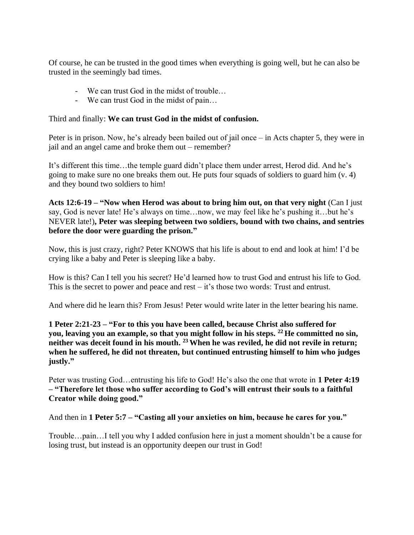Of course, he can be trusted in the good times when everything is going well, but he can also be trusted in the seemingly bad times.

- We can trust God in the midst of trouble…
- We can trust God in the midst of pain…

## Third and finally: **We can trust God in the midst of confusion.**

Peter is in prison. Now, he's already been bailed out of jail once – in Acts chapter 5, they were in jail and an angel came and broke them out – remember?

It's different this time…the temple guard didn't place them under arrest, Herod did. And he's going to make sure no one breaks them out. He puts four squads of soldiers to guard him (v. 4) and they bound two soldiers to him!

**Acts 12:6-19 – "Now when Herod was about to bring him out, on that very night** (Can I just say, God is never late! He's always on time…now, we may feel like he's pushing it…but he's NEVER late!)**, Peter was sleeping between two soldiers, bound with two chains, and sentries before the door were guarding the prison."**

Now, this is just crazy, right? Peter KNOWS that his life is about to end and look at him! I'd be crying like a baby and Peter is sleeping like a baby.

How is this? Can I tell you his secret? He'd learned how to trust God and entrust his life to God. This is the secret to power and peace and rest – it's those two words: Trust and entrust.

And where did he learn this? From Jesus! Peter would write later in the letter bearing his name.

**1 Peter 2:21-23 – "For to this you have been called, because Christ also suffered for you, leaving you an example, so that you might follow in his steps. <sup>22</sup> He committed no sin, neither was deceit found in his mouth. <sup>23</sup>When he was reviled, he did not revile in return; when he suffered, he did not threaten, but continued entrusting himself to him who judges justly."**

Peter was trusting God…entrusting his life to God! He's also the one that wrote in **1 Peter 4:19 – "Therefore let those who suffer according to God's will entrust their souls to a faithful Creator while doing good."**

And then in **1 Peter 5:7 – "Casting all your anxieties on him, because he cares for you."**

Trouble…pain…I tell you why I added confusion here in just a moment shouldn't be a cause for losing trust, but instead is an opportunity deepen our trust in God!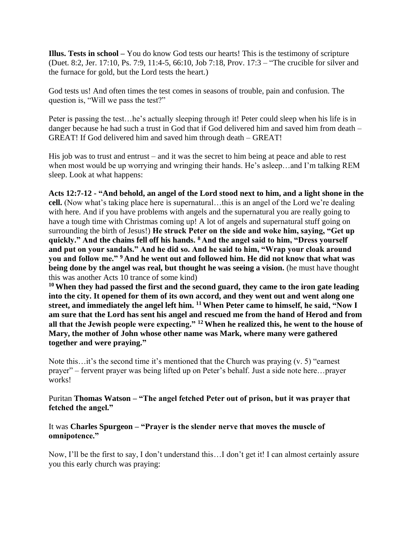**Illus. Tests in school –** You do know God tests our hearts! This is the testimony of scripture (Duet. 8:2, Jer. 17:10, Ps. 7:9, 11:4-5, 66:10, Job 7:18, Prov. 17:3 – "The crucible for silver and the furnace for gold, but the Lord tests the heart.)

God tests us! And often times the test comes in seasons of trouble, pain and confusion. The question is, "Will we pass the test?"

Peter is passing the test…he's actually sleeping through it! Peter could sleep when his life is in danger because he had such a trust in God that if God delivered him and saved him from death – GREAT! If God delivered him and saved him through death – GREAT!

His job was to trust and entrust – and it was the secret to him being at peace and able to rest when most would be up worrying and wringing their hands. He's asleep…and I'm talking REM sleep. Look at what happens:

**Acts 12:7-12 - "And behold, an angel of the Lord stood next to him, and a light shone in the cell.** (Now what's taking place here is supernatural…this is an angel of the Lord we're dealing with here. And if you have problems with angels and the supernatural you are really going to have a tough time with Christmas coming up! A lot of angels and supernatural stuff going on surrounding the birth of Jesus!) **He struck Peter on the side and woke him, saying, "Get up quickly." And the chains fell off his hands. <sup>8</sup> And the angel said to him, "Dress yourself and put on your sandals." And he did so. And he said to him, "Wrap your cloak around you and follow me." <sup>9</sup> And he went out and followed him. He did not know that what was being done by the angel was real, but thought he was seeing a vision.** (he must have thought this was another Acts 10 trance of some kind)

**<sup>10</sup>When they had passed the first and the second guard, they came to the iron gate leading into the city. It opened for them of its own accord, and they went out and went along one street, and immediately the angel left him. <sup>11</sup>When Peter came to himself, he said, "Now I am sure that the Lord has sent his angel and rescued me from the hand of Herod and from all that the Jewish people were expecting." <sup>12</sup>When he realized this, he went to the house of Mary, the mother of John whose other name was Mark, where many were gathered together and were praying."**

Note this…it's the second time it's mentioned that the Church was praying (v. 5) "earnest prayer" – fervent prayer was being lifted up on Peter's behalf. Just a side note here…prayer works!

#### Puritan **Thomas Watson – "The angel fetched Peter out of prison, but it was prayer that fetched the angel."**

It was **Charles Spurgeon – "Prayer is the slender nerve that moves the muscle of omnipotence."**

Now, I'll be the first to say, I don't understand this…I don't get it! I can almost certainly assure you this early church was praying: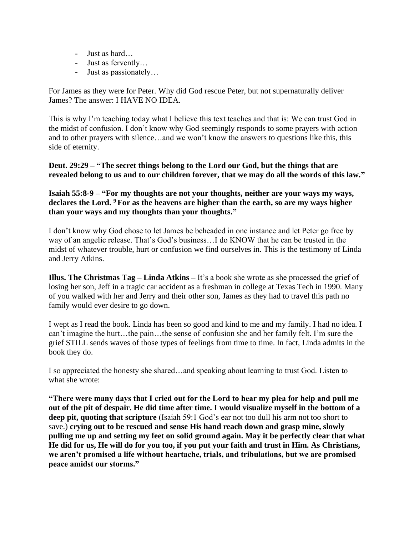- Just as hard…
- Just as fervently…
- Just as passionately…

For James as they were for Peter. Why did God rescue Peter, but not supernaturally deliver James? The answer: I HAVE NO IDEA.

This is why I'm teaching today what I believe this text teaches and that is: We can trust God in the midst of confusion. I don't know why God seemingly responds to some prayers with action and to other prayers with silence…and we won't know the answers to questions like this, this side of eternity.

**Deut. 29:29 – "The secret things belong to the Lord our God, but the things that are revealed belong to us and to our children forever, that we may do all the words of this law."**

**Isaiah 55:8-9 – "For my thoughts are not your thoughts, neither are your ways my ways, declares the Lord. <sup>9</sup> For as the heavens are higher than the earth, so are my ways higher than your ways and my thoughts than your thoughts."**

I don't know why God chose to let James be beheaded in one instance and let Peter go free by way of an angelic release. That's God's business…I do KNOW that he can be trusted in the midst of whatever trouble, hurt or confusion we find ourselves in. This is the testimony of Linda and Jerry Atkins.

**Illus. The Christmas Tag – Linda Atkins –** It's a book she wrote as she processed the grief of losing her son, Jeff in a tragic car accident as a freshman in college at Texas Tech in 1990. Many of you walked with her and Jerry and their other son, James as they had to travel this path no family would ever desire to go down.

I wept as I read the book. Linda has been so good and kind to me and my family. I had no idea. I can't imagine the hurt…the pain…the sense of confusion she and her family felt. I'm sure the grief STILL sends waves of those types of feelings from time to time. In fact, Linda admits in the book they do.

I so appreciated the honesty she shared…and speaking about learning to trust God. Listen to what she wrote:

**"There were many days that I cried out for the Lord to hear my plea for help and pull me out of the pit of despair. He did time after time. I would visualize myself in the bottom of a**  deep pit, quoting that scripture (Isaiah 59:1 God's ear not too dull his arm not too short to save.) **crying out to be rescued and sense His hand reach down and grasp mine, slowly pulling me up and setting my feet on solid ground again. May it be perfectly clear that what He did for us, He will do for you too, if you put your faith and trust in Him. As Christians, we aren't promised a life without heartache, trials, and tribulations, but we are promised peace amidst our storms."**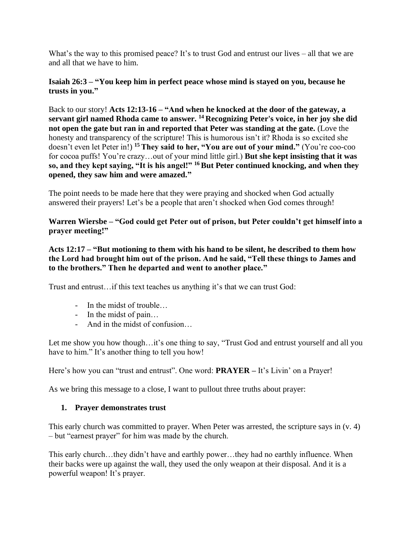What's the way to this promised peace? It's to trust God and entrust our lives – all that we are and all that we have to him.

#### **Isaiah 26:3 – "You keep him in perfect peace whose mind is stayed on you, because he trusts in you."**

Back to our story! **Acts 12:13-16 – "And when he knocked at the door of the gateway, a servant girl named Rhoda came to answer. <sup>14</sup> Recognizing Peter's voice, in her joy she did not open the gate but ran in and reported that Peter was standing at the gate.** (Love the honesty and transparency of the scripture! This is humorous isn't it? Rhoda is so excited she doesn't even let Peter in!) **<sup>15</sup> They said to her, "You are out of your mind."** (You're coo-coo for cocoa puffs! You're crazy…out of your mind little girl.) **But she kept insisting that it was so, and they kept saying, "It is his angel!" <sup>16</sup>But Peter continued knocking, and when they opened, they saw him and were amazed."**

The point needs to be made here that they were praying and shocked when God actually answered their prayers! Let's be a people that aren't shocked when God comes through!

### **Warren Wiersbe – "God could get Peter out of prison, but Peter couldn't get himself into a prayer meeting!"**

**Acts 12:17 – "But motioning to them with his hand to be silent, he described to them how the Lord had brought him out of the prison. And he said, "Tell these things to James and to the brothers." Then he departed and went to another place."**

Trust and entrust…if this text teaches us anything it's that we can trust God:

- In the midst of trouble…
- In the midst of pain…
- And in the midst of confusion…

Let me show you how though…it's one thing to say, "Trust God and entrust yourself and all you have to him." It's another thing to tell you how!

Here's how you can "trust and entrust". One word: **PRAYER –** It's Livin' on a Prayer!

As we bring this message to a close, I want to pullout three truths about prayer:

### **1. Prayer demonstrates trust**

This early church was committed to prayer. When Peter was arrested, the scripture says in (v. 4) – but "earnest prayer" for him was made by the church.

This early church…they didn't have and earthly power…they had no earthly influence. When their backs were up against the wall, they used the only weapon at their disposal. And it is a powerful weapon! It's prayer.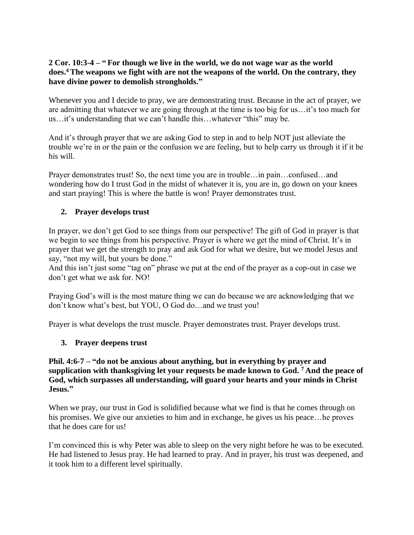### **2 Cor. 10:3-4 – " For though we live in the world, we do not wage war as the world does.<sup>4</sup>The weapons we fight with are not the weapons of the world. On the contrary, they have divine power to demolish strongholds."**

Whenever you and I decide to pray, we are demonstrating trust. Because in the act of prayer, we are admitting that whatever we are going through at the time is too big for us…it's too much for us…it's understanding that we can't handle this…whatever "this" may be.

And it's through prayer that we are asking God to step in and to help NOT just alleviate the trouble we're in or the pain or the confusion we are feeling, but to help carry us through it if it be his will.

Prayer demonstrates trust! So, the next time you are in trouble…in pain…confused…and wondering how do I trust God in the midst of whatever it is, you are in, go down on your knees and start praying! This is where the battle is won! Prayer demonstrates trust.

# **2. Prayer develops trust**

In prayer, we don't get God to see things from our perspective! The gift of God in prayer is that we begin to see things from his perspective. Prayer is where we get the mind of Christ. It's in prayer that we get the strength to pray and ask God for what we desire, but we model Jesus and say, "not my will, but yours be done."

And this isn't just some "tag on" phrase we put at the end of the prayer as a cop-out in case we don't get what we ask for. NO!

Praying God's will is the most mature thing we can do because we are acknowledging that we don't know what's best, but YOU, O God do…and we trust you!

Prayer is what develops the trust muscle. Prayer demonstrates trust. Prayer develops trust.

### **3. Prayer deepens trust**

#### **Phil. 4:6-7 – "do not be anxious about anything, but in everything by prayer and supplication with thanksgiving let your requests be made known to God. <sup>7</sup> And the peace of God, which surpasses all understanding, will guard your hearts and your minds in Christ Jesus."**

When we pray, our trust in God is solidified because what we find is that he comes through on his promises. We give our anxieties to him and in exchange, he gives us his peace…he proves that he does care for us!

I'm convinced this is why Peter was able to sleep on the very night before he was to be executed. He had listened to Jesus pray. He had learned to pray. And in prayer, his trust was deepened, and it took him to a different level spiritually.